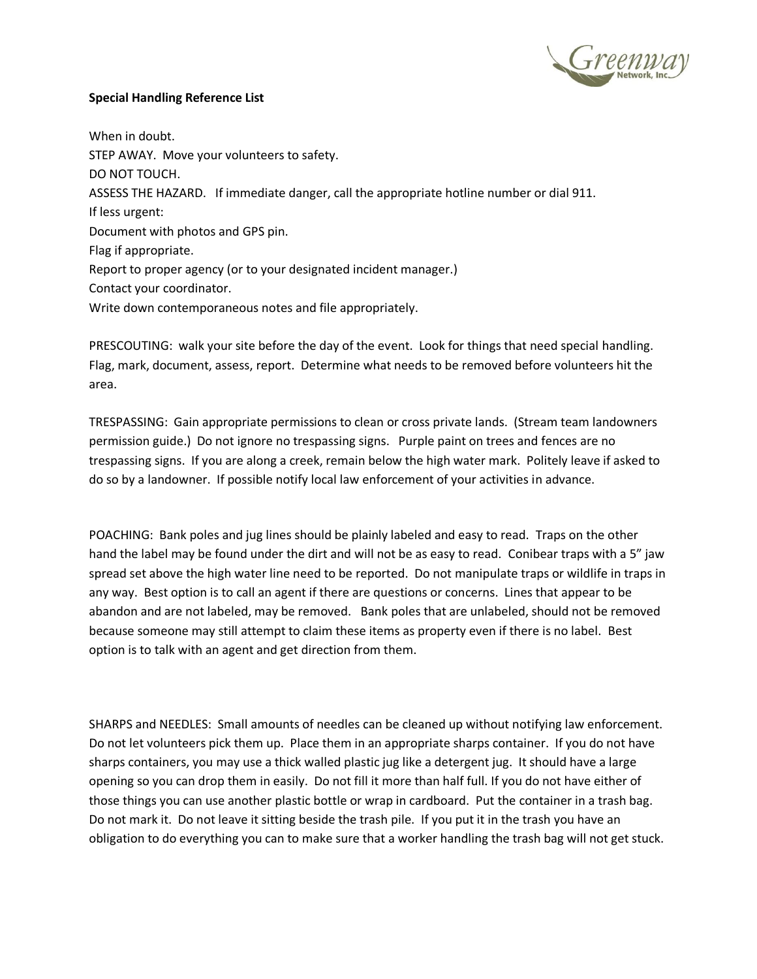

## **Special Handling Reference List**

When in doubt. STEP AWAY. Move your volunteers to safety. DO NOT TOUCH. ASSESS THE HAZARD. If immediate danger, call the appropriate hotline number or dial 911. If less urgent: Document with photos and GPS pin. Flag if appropriate. Report to proper agency (or to your designated incident manager.) Contact your coordinator. Write down contemporaneous notes and file appropriately.

PRESCOUTING: walk your site before the day of the event. Look for things that need special handling. Flag, mark, document, assess, report. Determine what needs to be removed before volunteers hit the area.

TRESPASSING: Gain appropriate permissions to clean or cross private lands. (Stream team landowners permission guide.) Do not ignore no trespassing signs. Purple paint on trees and fences are no trespassing signs. If you are along a creek, remain below the high water mark. Politely leave if asked to do so by a landowner. If possible notify local law enforcement of your activities in advance.

POACHING: Bank poles and jug lines should be plainly labeled and easy to read. Traps on the other hand the label may be found under the dirt and will not be as easy to read. Conibear traps with a 5" jaw spread set above the high water line need to be reported. Do not manipulate traps or wildlife in traps in any way. Best option is to call an agent if there are questions or concerns. Lines that appear to be abandon and are not labeled, may be removed. Bank poles that are unlabeled, should not be removed because someone may still attempt to claim these items as property even if there is no label. Best option is to talk with an agent and get direction from them.

SHARPS and NEEDLES: Small amounts of needles can be cleaned up without notifying law enforcement. Do not let volunteers pick them up. Place them in an appropriate sharps container. If you do not have sharps containers, you may use a thick walled plastic jug like a detergent jug. It should have a large opening so you can drop them in easily. Do not fill it more than half full. If you do not have either of those things you can use another plastic bottle or wrap in cardboard. Put the container in a trash bag. Do not mark it. Do not leave it sitting beside the trash pile. If you put it in the trash you have an obligation to do everything you can to make sure that a worker handling the trash bag will not get stuck.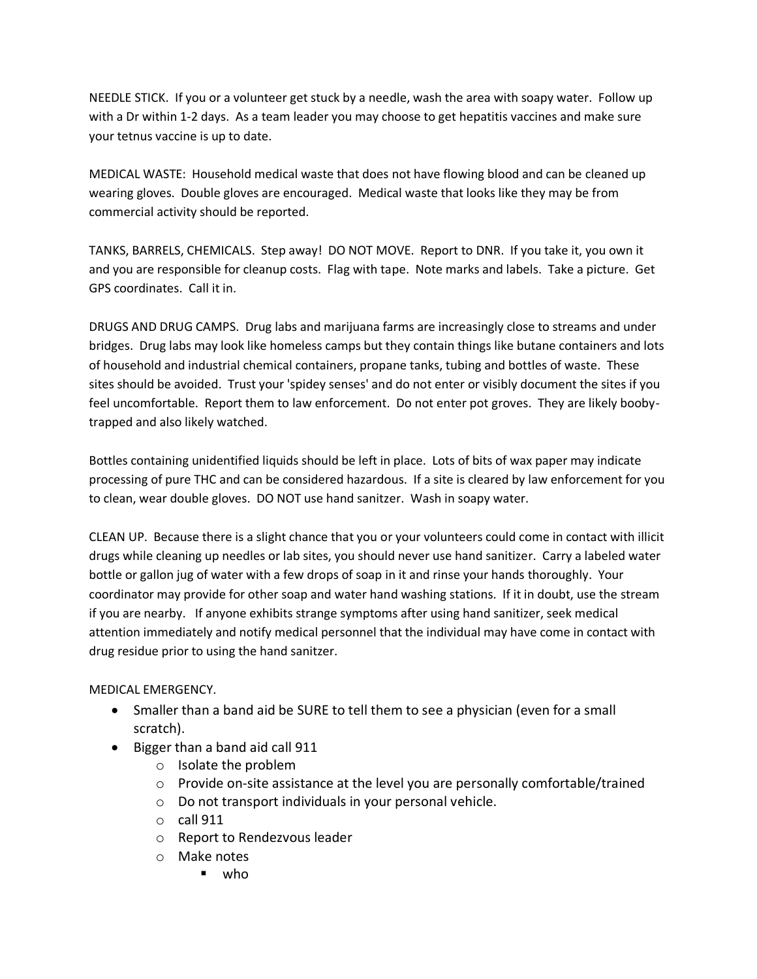NEEDLE STICK. If you or a volunteer get stuck by a needle, wash the area with soapy water. Follow up with a Dr within 1-2 days. As a team leader you may choose to get hepatitis vaccines and make sure your tetnus vaccine is up to date.

MEDICAL WASTE: Household medical waste that does not have flowing blood and can be cleaned up wearing gloves. Double gloves are encouraged. Medical waste that looks like they may be from commercial activity should be reported.

TANKS, BARRELS, CHEMICALS. Step away! DO NOT MOVE. Report to DNR. If you take it, you own it and you are responsible for cleanup costs. Flag with tape. Note marks and labels. Take a picture. Get GPS coordinates. Call it in.

DRUGS AND DRUG CAMPS. Drug labs and marijuana farms are increasingly close to streams and under bridges. Drug labs may look like homeless camps but they contain things like butane containers and lots of household and industrial chemical containers, propane tanks, tubing and bottles of waste. These sites should be avoided. Trust your 'spidey senses' and do not enter or visibly document the sites if you feel uncomfortable. Report them to law enforcement. Do not enter pot groves. They are likely boobytrapped and also likely watched.

Bottles containing unidentified liquids should be left in place. Lots of bits of wax paper may indicate processing of pure THC and can be considered hazardous. If a site is cleared by law enforcement for you to clean, wear double gloves. DO NOT use hand sanitzer. Wash in soapy water.

CLEAN UP. Because there is a slight chance that you or your volunteers could come in contact with illicit drugs while cleaning up needles or lab sites, you should never use hand sanitizer. Carry a labeled water bottle or gallon jug of water with a few drops of soap in it and rinse your hands thoroughly. Your coordinator may provide for other soap and water hand washing stations. If it in doubt, use the stream if you are nearby. If anyone exhibits strange symptoms after using hand sanitizer, seek medical attention immediately and notify medical personnel that the individual may have come in contact with drug residue prior to using the hand sanitzer.

MEDICAL EMERGENCY.

- Smaller than a band aid be SURE to tell them to see a physician (even for a small scratch).
- Bigger than a band aid call 911
	- o Isolate the problem
	- $\circ$  Provide on-site assistance at the level you are personally comfortable/trained
	- o Do not transport individuals in your personal vehicle.
	- $\circ$  call 911
	- o Report to Rendezvous leader
	- o Make notes
		- who